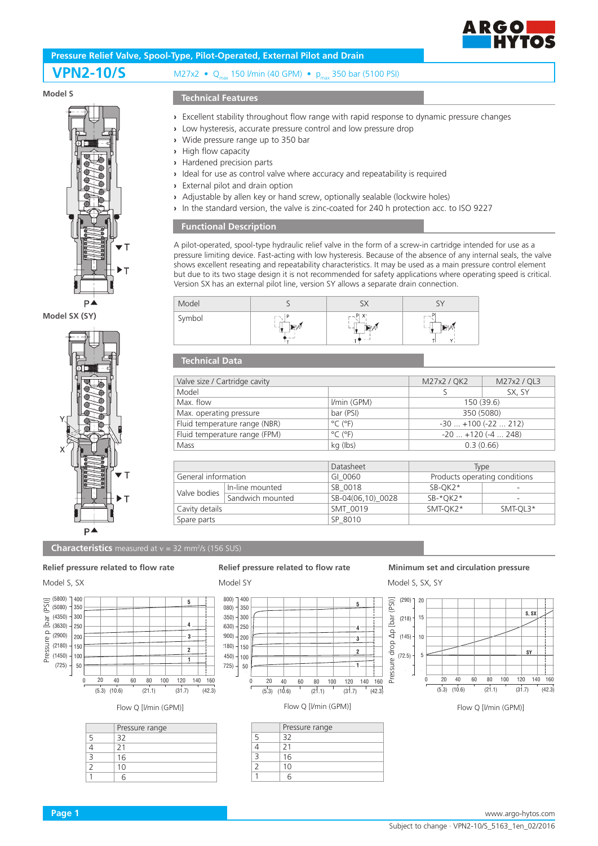

# **Pressure Relief Valve, Spool-Type, Pilot-Operated, External Pilot and Drain**

## **VPN2-10/S** M27x2 • Q<sub>max</sub> 150 l/min (40 GPM) • p<sub>max</sub> 350 bar (5100 PSI)

#### **Model S**



#### **Model SX (SY)**



#### **Technical Features**

- **›** Excellent stability throughout flow range with rapid response to dynamic pressure changes
- **›** Low hysteresis, accurate pressure control and low pressure drop
- **›** Wide pressure range up to 350 bar
- **›** High flow capacity
- **›** Hardened precision parts
- **›** Ideal for use as control valve where accuracy and repeatability is required
- **›** External pilot and drain option
- **›** Adjustable by allen key or hand screw, optionally sealable (lockwire holes)
- **›** In the standard version, the valve is zinc-coated for 240 h protection acc. to ISO 9227

#### **Functional Description**

A pilot-operated, spool-type hydraulic relief valve in the form of a screw-in cartridge intended for use as a pressure limiting device. Fast-acting with low hysteresis. Because of the absence of any internal seals, the valve shows excellent reseating and repeatability characteristics. It may be used as a main pressure control element but due to its two stage design it is not recommended for safety applications where operating speed is critical. Version SX has an external pilot line, version SY allows a separate drain connection.

| Model  |       |    |
|--------|-------|----|
| Symbol | – – M | -- |

### **Technical Data**

| Valve size / Cartridge cavity |                  | M27x2 / QK2                  | M27x2 / QL3                   |        |  |
|-------------------------------|------------------|------------------------------|-------------------------------|--------|--|
| Model                         |                  |                              |                               | SX, SY |  |
| Max. flow                     |                  | I/min (GPM)                  | 150 (39.6)                    |        |  |
| Max. operating pressure       |                  | bar (PSI)                    | 350 (5080)                    |        |  |
| Fluid temperature range (NBR) |                  | $^{\circ}$ C ( $^{\circ}$ F) | $-30+100(-22212)$             |        |  |
| Fluid temperature range (FPM) |                  | $^{\circ}$ C ( $^{\circ}$ F) | $-20$ $+120$ ( $-4$ 248)      |        |  |
| Mass                          |                  | kg (lbs)                     | 0.3(0.66)                     |        |  |
|                               |                  |                              |                               |        |  |
|                               |                  | Datasheet                    | <b>Type</b>                   |        |  |
| General information           |                  | GI 0060                      | Products operating conditions |        |  |
| Valve bodies                  | In-line mounted  | SB 0018                      | $SB-OK2*$                     |        |  |
|                               | Sandwich mounted | SB-04(06,10) 0028            | SB-*OK2*                      |        |  |

Cavity details **SMT\_0019** SMT\_0019 SMT-QK2<sup>\*</sup> SMT-QL3<sup>\*</sup>

#### **Characteristics** measured at v = 32 mm<sup>2</sup>/s (156 SUS)



### Model S, SX Model SY Model S, SX, SY

Spare parts Spare parts SP 8010



# **Relief pressure related to flow rate Relief pressure related to flow rate Minimum set and circulation pressure**



Flow Q [I/min (GPM)] Flow Q [I/min (GPM)] Flow Q [I/min (GPM)] Flow Q [I/min (GPM)]

|   | Pressure range |
|---|----------------|
|   | 32             |
|   | 21             |
| 3 | 16             |
|   | 10             |
|   |                |

|   | Pressure range |
|---|----------------|
| 5 | 32             |
| Δ | 21             |
| Β | 16             |
|   | 10             |
|   |                |